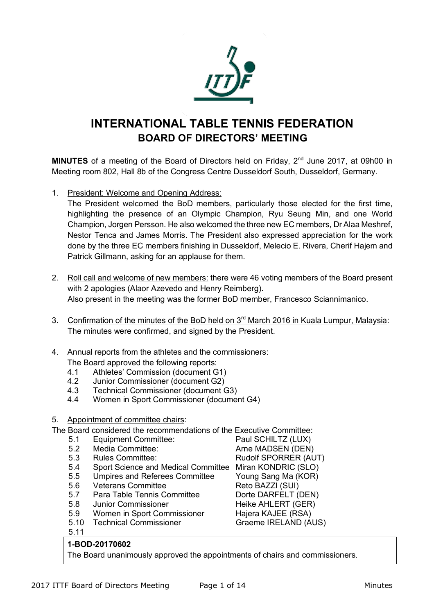

# **INTERNATIONAL TABLE TENNIS FEDERATION BOARD OF DIRECTORS' MEETING**

**MINUTES** of a meeting of the Board of Directors held on Friday, 2<sup>nd</sup> June 2017, at 09h00 in Meeting room 802, Hall 8b of the Congress Centre Dusseldorf South, Dusseldorf, Germany.

1. President: Welcome and Opening Address:

The President welcomed the BoD members, particularly those elected for the first time, highlighting the presence of an Olympic Champion, Ryu Seung Min, and one World Champion, Jorgen Persson. He also welcomed the three new EC members, Dr Alaa Meshref, Nestor Tenca and James Morris. The President also expressed appreciation for the work done by the three EC members finishing in Dusseldorf, Melecio E. Rivera, Cherif Hajem and Patrick Gillmann, asking for an applause for them.

- 2. Roll call and welcome of new members: there were 46 voting members of the Board present with 2 apologies (Alaor Azevedo and Henry Reimberg). Also present in the meeting was the former BoD member, Francesco Sciannimanico.
- 3. Confirmation of the minutes of the BoD held on 3<sup>rd</sup> March 2016 in Kuala Lumpur, Malaysia: The minutes were confirmed, and signed by the President.
- 4. Annual reports from the athletes and the commissioners: The Board approved the following reports:
	-
	- 4.1 Athletes' Commission (document G1)<br>4.2 Junior Commissioner (document G2) Junior Commissioner (document G2)
	- 4.3 Technical Commissioner (document G3)
	- 4.4 Women in Sport Commissioner (document G4)
- 5. Appointment of committee chairs:

The Board considered the recommendations of the Executive Committee:

- 5.1 Equipment Committee: Paul SCHILTZ (LUX)
- 5.2 Media Committee: Arne MADSEN (DEN)
- 
- 5.3 Rules Committee: Rudolf SPORRER (AUT)<br>5.4 Sport Science and Medical Committee Miran KONDRIC (SLO) Sport Science and Medical Committee Miran KONDRIC (SLO)
- 5.5 Umpires and Referees Committee Young Sang Ma (KOR)
- 5.6 Veterans Committee Reto BAZZI (SUI)
- 5.7 Para Table Tennis Committee Dorte DARFELT (DEN)
- 5.8 Junior Commissioner Heike AHLERT (GER)
- 5.9 Women in Sport Commissioner Hajera KAJEE (RSA)
- 5.10 Technical Commissioner Graeme IRELAND (AUS)

5.11

# **1-BOD-20170602**

The Board unanimously approved the appointments of chairs and commissioners.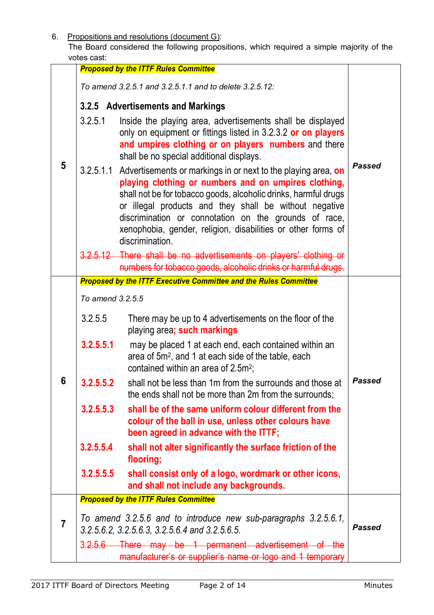6. Propositions and resolutions (document G):

The Board considered the following propositions, which required a simple majority of the votes cast:

|   | vules cast.                                                                                                       | <b>Proposed by the ITTF Rules Committee</b>                                                                                                                                                                                                                                                                                                                                                              |               |
|---|-------------------------------------------------------------------------------------------------------------------|----------------------------------------------------------------------------------------------------------------------------------------------------------------------------------------------------------------------------------------------------------------------------------------------------------------------------------------------------------------------------------------------------------|---------------|
| 5 |                                                                                                                   | To amend 3.2.5.1 and 3.2.5.1.1 and to delete 3.2.5.12:                                                                                                                                                                                                                                                                                                                                                   |               |
|   | 3.2.5 Advertisements and Markings                                                                                 |                                                                                                                                                                                                                                                                                                                                                                                                          |               |
|   | 3.2.5.1                                                                                                           | Inside the playing area, advertisements shall be displayed<br>only on equipment or fittings listed in 3.2.3.2 or on players<br>and umpires clothing or on players numbers and there<br>shall be no special additional displays.                                                                                                                                                                          | <b>Passed</b> |
|   |                                                                                                                   | 3.2.5.1.1 Advertisements or markings in or next to the playing area, on<br>playing clothing or numbers and on umpires clothing,<br>shall not be for tobacco goods, alcoholic drinks, harmful drugs<br>or illegal products and they shall be without negative<br>discrimination or connotation on the grounds of race,<br>xenophobia, gender, religion, disabilities or other forms of<br>discrimination. |               |
|   |                                                                                                                   | 3.2.5.12 There shall be no advertisements on players' clothing or<br>numbers for tobacco goods, alcoholic drinks or harmful drugs.                                                                                                                                                                                                                                                                       |               |
|   | <b>Proposed by the ITTF Executive Committee and the Rules Committee</b>                                           |                                                                                                                                                                                                                                                                                                                                                                                                          |               |
|   | To amend 3.2.5.5                                                                                                  |                                                                                                                                                                                                                                                                                                                                                                                                          |               |
|   | 3.2.5.5                                                                                                           | There may be up to 4 advertisements on the floor of the<br>playing area; such markings                                                                                                                                                                                                                                                                                                                   |               |
|   | 3.2.5.5.1                                                                                                         | may be placed 1 at each end, each contained within an<br>area of 5m <sup>2</sup> , and 1 at each side of the table, each<br>contained within an area of 2.5m <sup>2</sup> ;                                                                                                                                                                                                                              |               |
| 6 | 3.2.5.5.2                                                                                                         | shall not be less than 1m from the surrounds and those at<br>the ends shall not be more than 2m from the surrounds;                                                                                                                                                                                                                                                                                      | <b>Passed</b> |
|   | 3.2.5.5.3                                                                                                         | shall be of the same uniform colour different from the<br>colour of the ball in use, unless other colours have<br>been agreed in advance with the ITTF;                                                                                                                                                                                                                                                  |               |
|   | 3.2.5.5.4                                                                                                         | shall not alter significantly the surface friction of the<br>flooring;                                                                                                                                                                                                                                                                                                                                   |               |
|   | 3.2.5.5.5                                                                                                         | shall consist only of a logo, wordmark or other icons,<br>and shall not include any backgrounds.                                                                                                                                                                                                                                                                                                         |               |
|   |                                                                                                                   | <b>Proposed by the ITTF Rules Committee</b>                                                                                                                                                                                                                                                                                                                                                              |               |
| 7 | To amend 3.2.5.6 and to introduce new sub-paragraphs 3.2.5.6.1,<br>3.2.5.6.2, 3.2.5.6.3, 3.2.5.6.4 and 3.2.5.6.5. | Passed                                                                                                                                                                                                                                                                                                                                                                                                   |               |
|   |                                                                                                                   | 3.2.5.6 There may be 1 permanent advertisement of the<br>manufacturer's or supplier's name or logo and 1 temporary                                                                                                                                                                                                                                                                                       |               |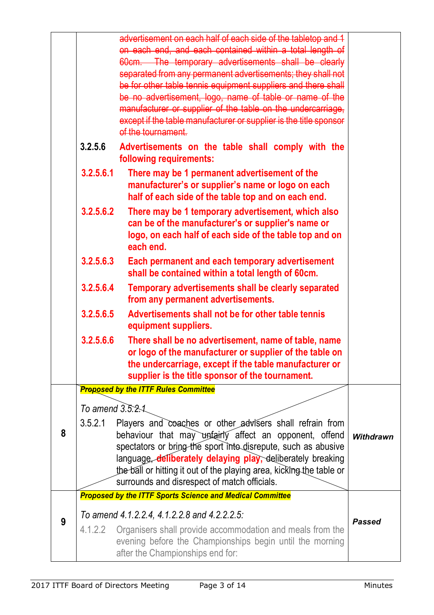|   |                  | advertisement on each half of each side of the tabletop and 1<br>on each end, and each contained within a total length of<br>60cm. The temporary advertisements shall be clearly<br>separated from any permanent advertisements; they shall not<br>be for other table tennis equipment suppliers and there shall<br>be no advertisement, logo, name of table or name of the<br>manufacturer or supplier of the table on the undercarriage,<br>except if the table manufacturer or supplier is the title sponsor<br>of the tournament. |                  |
|---|------------------|---------------------------------------------------------------------------------------------------------------------------------------------------------------------------------------------------------------------------------------------------------------------------------------------------------------------------------------------------------------------------------------------------------------------------------------------------------------------------------------------------------------------------------------|------------------|
|   | 3.2.5.6          | Advertisements on the table shall comply with the<br>following requirements:                                                                                                                                                                                                                                                                                                                                                                                                                                                          |                  |
|   | 3.2.5.6.1        | There may be 1 permanent advertisement of the<br>manufacturer's or supplier's name or logo on each<br>half of each side of the table top and on each end.                                                                                                                                                                                                                                                                                                                                                                             |                  |
|   | 3.2.5.6.2        | There may be 1 temporary advertisement, which also<br>can be of the manufacturer's or supplier's name or<br>logo, on each half of each side of the table top and on<br>each end.                                                                                                                                                                                                                                                                                                                                                      |                  |
|   | 3.2.5.6.3        | Each permanent and each temporary advertisement<br>shall be contained within a total length of 60cm.                                                                                                                                                                                                                                                                                                                                                                                                                                  |                  |
|   | 3.2.5.6.4        | Temporary advertisements shall be clearly separated<br>from any permanent advertisements.                                                                                                                                                                                                                                                                                                                                                                                                                                             |                  |
|   | 3.2.5.6.5        | Advertisements shall not be for other table tennis<br>equipment suppliers.                                                                                                                                                                                                                                                                                                                                                                                                                                                            |                  |
|   | 3.2.5.6.6        | There shall be no advertisement, name of table, name<br>or logo of the manufacturer or supplier of the table on<br>the undercarriage, except if the table manufacturer or<br>supplier is the title sponsor of the tournament.                                                                                                                                                                                                                                                                                                         |                  |
|   |                  | <b>Proposed by the ITTF Rules Committee</b>                                                                                                                                                                                                                                                                                                                                                                                                                                                                                           |                  |
|   | To amend 3.5.2.1 |                                                                                                                                                                                                                                                                                                                                                                                                                                                                                                                                       |                  |
| 8 | 3.5.2.1          | Players and coaches or other advisers shall refrain from<br>behaviour that may unfairly affect an opponent, offend<br>spectators or bring the sport into disrepute, such as abusive<br>language, deliberately delaying play, deliberately breaking<br>the ball or hitting it out of the playing area, kicking the table or<br>surrounds and disrespect of match officials.<br><b>Proposed by the ITTF Sports Science and Medical Committee</b>                                                                                        | <b>Withdrawn</b> |
|   |                  |                                                                                                                                                                                                                                                                                                                                                                                                                                                                                                                                       |                  |
| 9 | 4.1.2.2          | To amend 4.1.2.2.4, 4.1.2.2.8 and 4.2.2.2.5:<br>Organisers shall provide accommodation and meals from the<br>evening before the Championships begin until the morning<br>after the Championships end for:                                                                                                                                                                                                                                                                                                                             | <b>Passed</b>    |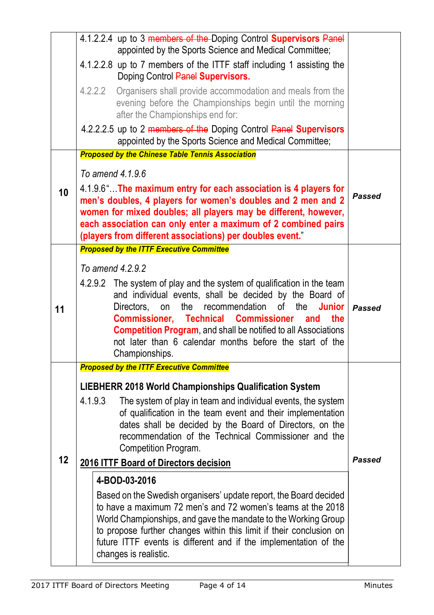|                                                                                                                                                                                                                                                                                                                                                                                                                                        | 4.1.2.2.4 up to 3 members of the Doping Control Supervisors Panel<br>appointed by the Sports Science and Medical Committee;                                                                                                                                                                                                                                            |               |  |
|----------------------------------------------------------------------------------------------------------------------------------------------------------------------------------------------------------------------------------------------------------------------------------------------------------------------------------------------------------------------------------------------------------------------------------------|------------------------------------------------------------------------------------------------------------------------------------------------------------------------------------------------------------------------------------------------------------------------------------------------------------------------------------------------------------------------|---------------|--|
|                                                                                                                                                                                                                                                                                                                                                                                                                                        | 4.1.2.2.8 up to 7 members of the ITTF staff including 1 assisting the<br>Doping Control Panel Supervisors.                                                                                                                                                                                                                                                             |               |  |
|                                                                                                                                                                                                                                                                                                                                                                                                                                        | 4.2.2.2 Organisers shall provide accommodation and meals from the<br>evening before the Championships begin until the morning<br>after the Championships end for:                                                                                                                                                                                                      |               |  |
|                                                                                                                                                                                                                                                                                                                                                                                                                                        | 4.2.2.2.5 up to 2 members of the Doping Control Panel Supervisors<br>appointed by the Sports Science and Medical Committee;                                                                                                                                                                                                                                            |               |  |
|                                                                                                                                                                                                                                                                                                                                                                                                                                        | <b>Proposed by the Chinese Table Tennis Association</b>                                                                                                                                                                                                                                                                                                                |               |  |
|                                                                                                                                                                                                                                                                                                                                                                                                                                        | To amend 4.1.9.6                                                                                                                                                                                                                                                                                                                                                       |               |  |
| 10                                                                                                                                                                                                                                                                                                                                                                                                                                     | 4.1.9.6" The maximum entry for each association is 4 players for<br>men's doubles, 4 players for women's doubles and 2 men and 2<br>women for mixed doubles; all players may be different, however,<br>each association can only enter a maximum of 2 combined pairs<br>(players from different associations) per doubles event."                                      |               |  |
|                                                                                                                                                                                                                                                                                                                                                                                                                                        | <b>Proposed by the ITTF Executive Committee</b>                                                                                                                                                                                                                                                                                                                        |               |  |
|                                                                                                                                                                                                                                                                                                                                                                                                                                        | To amend 4.2.9.2                                                                                                                                                                                                                                                                                                                                                       |               |  |
| 4.2.9.2 The system of play and the system of qualification in the team<br>and individual events, shall be decided by the Board of<br>recommendation<br>of<br>Directors.<br>the<br>the<br><b>Junior</b><br>on<br>11<br><b>Commissioner, Technical Commissioner</b><br>the<br>and<br><b>Competition Program, and shall be notified to all Associations</b><br>not later than 6 calendar months before the start of the<br>Championships. |                                                                                                                                                                                                                                                                                                                                                                        | Passed        |  |
|                                                                                                                                                                                                                                                                                                                                                                                                                                        | <b>Proposed by the ITTF Executive Committee</b>                                                                                                                                                                                                                                                                                                                        |               |  |
|                                                                                                                                                                                                                                                                                                                                                                                                                                        | <b>LIEBHERR 2018 World Championships Qualification System</b>                                                                                                                                                                                                                                                                                                          |               |  |
| 12                                                                                                                                                                                                                                                                                                                                                                                                                                     | 4.1.9.3<br>The system of play in team and individual events, the system<br>of qualification in the team event and their implementation<br>dates shall be decided by the Board of Directors, on the<br>recommendation of the Technical Commissioner and the<br><b>Competition Program.</b><br>2016 ITTF Board of Directors decision                                     | <b>Passed</b> |  |
|                                                                                                                                                                                                                                                                                                                                                                                                                                        | 4-BOD-03-2016                                                                                                                                                                                                                                                                                                                                                          |               |  |
|                                                                                                                                                                                                                                                                                                                                                                                                                                        | Based on the Swedish organisers' update report, the Board decided<br>to have a maximum 72 men's and 72 women's teams at the 2018<br>World Championships, and gave the mandate to the Working Group<br>to propose further changes within this limit if their conclusion on<br>future ITTF events is different and if the implementation of the<br>changes is realistic. |               |  |
|                                                                                                                                                                                                                                                                                                                                                                                                                                        |                                                                                                                                                                                                                                                                                                                                                                        |               |  |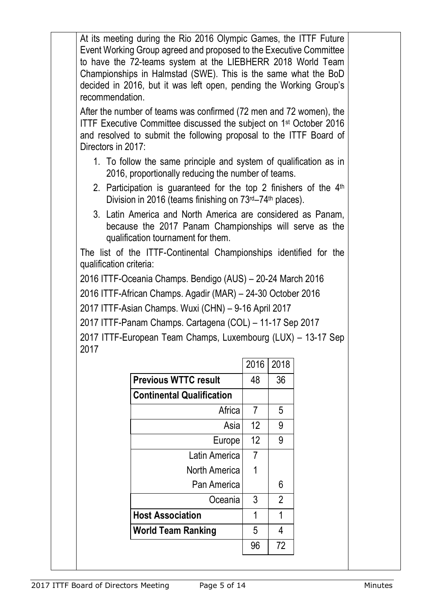| At its meeting during the Rio 2016 Olympic Games, the ITTF Future<br>Event Working Group agreed and proposed to the Executive Committee<br>to have the 72-teams system at the LIEBHERR 2018 World Team<br>Championships in Halmstad (SWE). This is the same what the BoD<br>decided in 2016, but it was left open, pending the Working Group's<br>recommendation.                        |                |                |  |  |
|------------------------------------------------------------------------------------------------------------------------------------------------------------------------------------------------------------------------------------------------------------------------------------------------------------------------------------------------------------------------------------------|----------------|----------------|--|--|
| After the number of teams was confirmed (72 men and 72 women), the<br>ITTF Executive Committee discussed the subject on 1 <sup>st</sup> October 2016<br>and resolved to submit the following proposal to the ITTF Board of<br>Directors in 2017:                                                                                                                                         |                |                |  |  |
| 1. To follow the same principle and system of qualification as in<br>2016, proportionally reducing the number of teams.<br>2. Participation is guaranteed for the top 2 finishers of the $4th$                                                                                                                                                                                           |                |                |  |  |
| 3. Latin America and North America are considered as Panam,<br>because the 2017 Panam Championships will serve as the<br>qualification tournament for them.<br>The list of the ITTF-Continental Championships identified for the<br>qualification criteria:<br>2016 ITTF-Oceania Champs. Bendigo (AUS) - 20-24 March 2016<br>2016 ITTF-African Champs. Agadir (MAR) - 24-30 October 2016 |                |                |  |  |
| 2017 ITTF-Asian Champs. Wuxi (CHN) - 9-16 April 2017<br>2017 ITTF-Panam Champs. Cartagena (COL) - 11-17 Sep 2017                                                                                                                                                                                                                                                                         |                |                |  |  |
| 2017 ITTF-European Team Champs, Luxembourg (LUX) - 13-17 Sep                                                                                                                                                                                                                                                                                                                             |                |                |  |  |
|                                                                                                                                                                                                                                                                                                                                                                                          |                |                |  |  |
| 2017                                                                                                                                                                                                                                                                                                                                                                                     | 2016 2018      |                |  |  |
| <b>Previous WTTC result</b>                                                                                                                                                                                                                                                                                                                                                              | 48             | 36             |  |  |
| <b>Continental Qualification</b>                                                                                                                                                                                                                                                                                                                                                         |                |                |  |  |
| Africa                                                                                                                                                                                                                                                                                                                                                                                   | $\overline{7}$ | 5              |  |  |
| Asia                                                                                                                                                                                                                                                                                                                                                                                     | 12             | 9              |  |  |
| Europe                                                                                                                                                                                                                                                                                                                                                                                   | 12             | 9              |  |  |
| Latin America                                                                                                                                                                                                                                                                                                                                                                            | 7              |                |  |  |
| <b>North America</b>                                                                                                                                                                                                                                                                                                                                                                     | 1              |                |  |  |
| Pan America                                                                                                                                                                                                                                                                                                                                                                              |                | 6              |  |  |
| Oceania                                                                                                                                                                                                                                                                                                                                                                                  | 3              | $\overline{2}$ |  |  |
| <b>Host Association</b>                                                                                                                                                                                                                                                                                                                                                                  | 1              | 1              |  |  |
| <b>World Team Ranking</b>                                                                                                                                                                                                                                                                                                                                                                | 5<br>96        | 4<br>72        |  |  |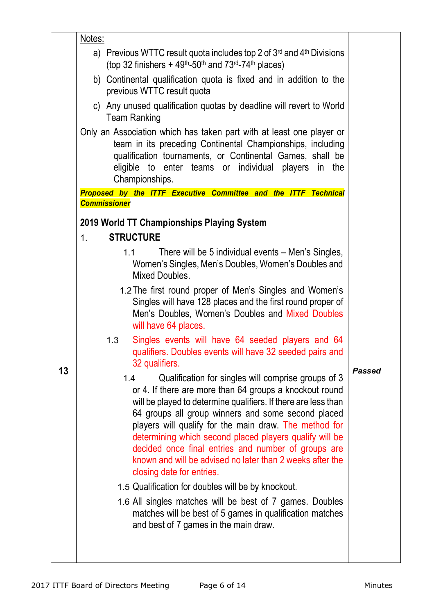|    | Notes:                                                                                                                                                                                                                                                                                                                                                                                                                                                                                                              |               |
|----|---------------------------------------------------------------------------------------------------------------------------------------------------------------------------------------------------------------------------------------------------------------------------------------------------------------------------------------------------------------------------------------------------------------------------------------------------------------------------------------------------------------------|---------------|
|    | a) Previous WTTC result quota includes top 2 of $3^{rd}$ and $4^{th}$ Divisions<br>(top 32 finishers $+49$ <sup>th</sup> -50 <sup>th</sup> and 73 <sup>rd</sup> -74 <sup>th</sup> places)                                                                                                                                                                                                                                                                                                                           |               |
|    | b) Continental qualification quota is fixed and in addition to the<br>previous WTTC result quota                                                                                                                                                                                                                                                                                                                                                                                                                    |               |
|    | c) Any unused qualification quotas by deadline will revert to World<br><b>Team Ranking</b>                                                                                                                                                                                                                                                                                                                                                                                                                          |               |
|    | Only an Association which has taken part with at least one player or<br>team in its preceding Continental Championships, including<br>qualification tournaments, or Continental Games, shall be<br>eligible to enter teams or individual players in the<br>Championships.                                                                                                                                                                                                                                           |               |
|    | Proposed by the ITTF Executive Committee and the ITTF Technical                                                                                                                                                                                                                                                                                                                                                                                                                                                     |               |
|    | <b>Commissioner</b><br>2019 World TT Championships Playing System                                                                                                                                                                                                                                                                                                                                                                                                                                                   |               |
|    | <b>STRUCTURE</b><br>1 <sub>1</sub>                                                                                                                                                                                                                                                                                                                                                                                                                                                                                  |               |
|    | There will be 5 individual events - Men's Singles,<br>1.1<br>Women's Singles, Men's Doubles, Women's Doubles and<br>Mixed Doubles.<br>1.2 The first round proper of Men's Singles and Women's<br>Singles will have 128 places and the first round proper of                                                                                                                                                                                                                                                         |               |
|    | Men's Doubles, Women's Doubles and Mixed Doubles<br>will have 64 places.                                                                                                                                                                                                                                                                                                                                                                                                                                            |               |
|    | Singles events will have 64 seeded players and 64<br>1.3<br>qualifiers. Doubles events will have 32 seeded pairs and<br>32 qualifiers.                                                                                                                                                                                                                                                                                                                                                                              | <b>Passed</b> |
| 13 | Qualification for singles will comprise groups of 3<br>1.4<br>or 4. If there are more than 64 groups a knockout round<br>will be played to determine qualifiers. If there are less than<br>64 groups all group winners and some second placed<br>players will qualify for the main draw. The method for<br>determining which second placed players qualify will be<br>decided once final entries and number of groups are<br>known and will be advised no later than 2 weeks after the<br>closing date for entries. |               |
|    | 1.5 Qualification for doubles will be by knockout.                                                                                                                                                                                                                                                                                                                                                                                                                                                                  |               |
|    | 1.6 All singles matches will be best of 7 games. Doubles<br>matches will be best of 5 games in qualification matches<br>and best of 7 games in the main draw.                                                                                                                                                                                                                                                                                                                                                       |               |
|    |                                                                                                                                                                                                                                                                                                                                                                                                                                                                                                                     |               |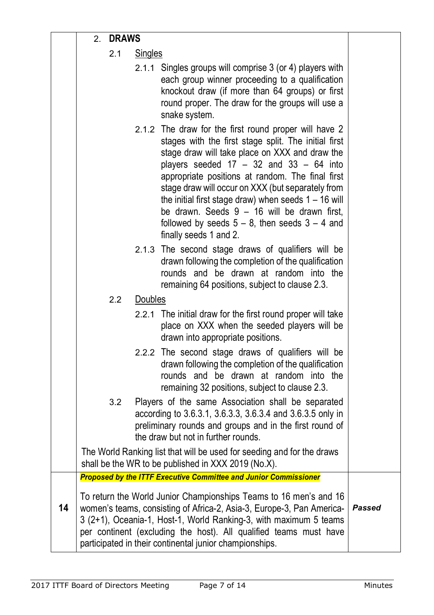|    | 2. | <b>DRAWS</b> |                |                                                                                                                                                                                                                                                                                                                                                                                                                                                                                                                    |               |
|----|----|--------------|----------------|--------------------------------------------------------------------------------------------------------------------------------------------------------------------------------------------------------------------------------------------------------------------------------------------------------------------------------------------------------------------------------------------------------------------------------------------------------------------------------------------------------------------|---------------|
|    |    | 2.1          | <b>Singles</b> |                                                                                                                                                                                                                                                                                                                                                                                                                                                                                                                    |               |
|    |    |              |                | 2.1.1 Singles groups will comprise 3 (or 4) players with<br>each group winner proceeding to a qualification<br>knockout draw (if more than 64 groups) or first<br>round proper. The draw for the groups will use a<br>snake system.                                                                                                                                                                                                                                                                                |               |
|    |    |              |                | 2.1.2 The draw for the first round proper will have 2<br>stages with the first stage split. The initial first<br>stage draw will take place on XXX and draw the<br>players seeded $17 - 32$ and $33 - 64$ into<br>appropriate positions at random. The final first<br>stage draw will occur on XXX (but separately from<br>the initial first stage draw) when seeds $1 - 16$ will<br>be drawn. Seeds $9 - 16$ will be drawn first,<br>followed by seeds $5 - 8$ , then seeds $3 - 4$ and<br>finally seeds 1 and 2. |               |
|    |    |              |                | 2.1.3 The second stage draws of qualifiers will be<br>drawn following the completion of the qualification<br>rounds and be drawn at random into the<br>remaining 64 positions, subject to clause 2.3.                                                                                                                                                                                                                                                                                                              |               |
|    |    | 2.2          | Doubles        |                                                                                                                                                                                                                                                                                                                                                                                                                                                                                                                    |               |
|    |    |              |                | 2.2.1 The initial draw for the first round proper will take<br>place on XXX when the seeded players will be<br>drawn into appropriate positions.                                                                                                                                                                                                                                                                                                                                                                   |               |
|    |    |              |                | 2.2.2 The second stage draws of qualifiers will be<br>drawn following the completion of the qualification<br>rounds and be drawn at random into the<br>remaining 32 positions, subject to clause 2.3.                                                                                                                                                                                                                                                                                                              |               |
|    |    | 3.2          |                | Players of the same Association shall be separated<br>according to 3.6.3.1, 3.6.3.3, 3.6.3.4 and 3.6.3.5 only in<br>preliminary rounds and groups and in the first round of<br>the draw but not in further rounds.                                                                                                                                                                                                                                                                                                 |               |
|    |    |              |                | The World Ranking list that will be used for seeding and for the draws<br>shall be the WR to be published in XXX 2019 (No.X).                                                                                                                                                                                                                                                                                                                                                                                      |               |
|    |    |              |                | <b>Proposed by the ITTF Executive Committee and Junior Commissioner</b>                                                                                                                                                                                                                                                                                                                                                                                                                                            |               |
| 14 |    |              |                | To return the World Junior Championships Teams to 16 men's and 16<br>women's teams, consisting of Africa-2, Asia-3, Europe-3, Pan America-<br>3 (2+1), Oceania-1, Host-1, World Ranking-3, with maximum 5 teams<br>per continent (excluding the host). All qualified teams must have<br>participated in their continental junior championships.                                                                                                                                                                    | <b>Passed</b> |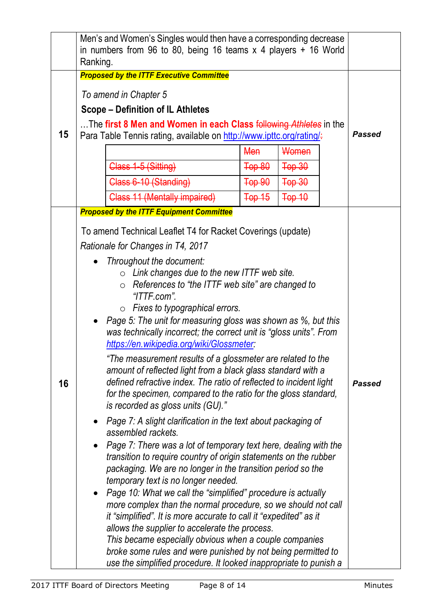|    | Men's and Women's Singles would then have a corresponding decrease<br>in numbers from 96 to 80, being 16 teams $x$ 4 players $+$ 16 World<br>Ranking.                                                                                                                                                                                                                                                                                                                                                                                                                                                                                                                                                                                                                                                                                                                                                                                                                                                                                                                                                                                                                                                                                                                                                                                                                                                                                                                                                                                                                                                                                                      |               |
|----|------------------------------------------------------------------------------------------------------------------------------------------------------------------------------------------------------------------------------------------------------------------------------------------------------------------------------------------------------------------------------------------------------------------------------------------------------------------------------------------------------------------------------------------------------------------------------------------------------------------------------------------------------------------------------------------------------------------------------------------------------------------------------------------------------------------------------------------------------------------------------------------------------------------------------------------------------------------------------------------------------------------------------------------------------------------------------------------------------------------------------------------------------------------------------------------------------------------------------------------------------------------------------------------------------------------------------------------------------------------------------------------------------------------------------------------------------------------------------------------------------------------------------------------------------------------------------------------------------------------------------------------------------------|---------------|
| 15 | <b>Proposed by the ITTF Executive Committee</b><br>To amend in Chapter 5<br><b>Scope – Definition of IL Athletes</b><br>The first 8 Men and Women in each Class following Athletes in the<br>Para Table Tennis rating, available on http://www.ipttc.org/rating/.<br>Women<br><b>Men</b><br>Class 1-5 (Sitting)<br>$\overline{+$ op 80<br>Top 30<br>Class 6-10 (Standing)<br>Top 90<br>$Top-30$<br>$Top-10$<br>Class 11 (Mentally impaired)<br>$Top-15$                                                                                                                                                                                                                                                                                                                                                                                                                                                                                                                                                                                                                                                                                                                                                                                                                                                                                                                                                                                                                                                                                                                                                                                                    | <b>Passed</b> |
| 16 | <b>Proposed by the ITTF Equipment Committee</b><br>To amend Technical Leaflet T4 for Racket Coverings (update)<br>Rationale for Changes in T4, 2017<br>Throughout the document:<br>$\circ$ Link changes due to the new ITTF web site.<br>$\circ$ References to "the ITTF web site" are changed to<br>$\lq$ TTF.com".<br>$\circ$ Fixes to typographical errors.<br>Page 5: The unit for measuring gloss was shown as %, but this<br>was technically incorrect; the correct unit is "gloss units". From<br>https://en.wikipedia.org/wiki/Glossmeter<br>"The measurement results of a glossmeter are related to the<br>amount of reflected light from a black glass standard with a<br>defined refractive index. The ratio of reflected to incident light<br>for the specimen, compared to the ratio for the gloss standard,<br>is recorded as gloss units (GU)."<br>Page 7: A slight clarification in the text about packaging of<br>assembled rackets.<br>Page 7: There was a lot of temporary text here, dealing with the<br>transition to require country of origin statements on the rubber<br>packaging. We are no longer in the transition period so the<br>temporary text is no longer needed.<br>Page 10: What we call the "simplified" procedure is actually<br>more complex than the normal procedure, so we should not call<br>it "simplified". It is more accurate to call it "expedited" as it<br>allows the supplier to accelerate the process.<br>This became especially obvious when a couple companies<br>broke some rules and were punished by not being permitted to<br>use the simplified procedure. It looked inappropriate to punish a | <b>Passed</b> |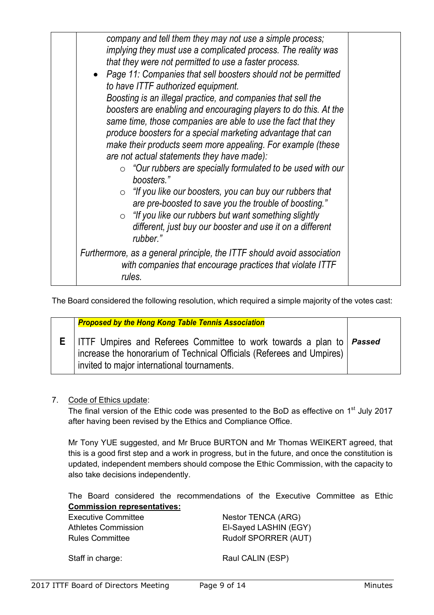The Board considered the following resolution, which required a simple majority of the votes cast:

| <b>Proposed by the Hong Kong Table Tennis Association</b>                                                                                                                                      |  |
|------------------------------------------------------------------------------------------------------------------------------------------------------------------------------------------------|--|
| ITTF Umpires and Referees Committee to work towards a plan to   Passed<br>increase the honorarium of Technical Officials (Referees and Umpires)<br>invited to major international tournaments. |  |

# 7. Code of Ethics update:

The final version of the Ethic code was presented to the BoD as effective on  $1<sup>st</sup>$  July 2017 after having been revised by the Ethics and Compliance Office.

Mr Tony YUE suggested, and Mr Bruce BURTON and Mr Thomas WEIKERT agreed, that this is a good first step and a work in progress, but in the future, and once the constitution is updated, independent members should compose the Ethic Commission, with the capacity to also take decisions independently.

The Board considered the recommendations of the Executive Committee as Ethic **Commission representatives:**

Executive Committee Nestor TENCA (ARG) Athletes Commission El-Sayed LASHIN (EGY) Rules Committee Rudolf SPORRER (AUT)

Staff in charge: Raul CALIN (ESP)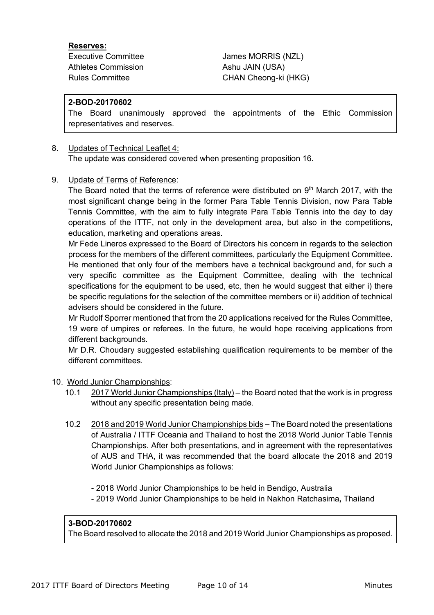#### **Reserves:**

Athletes Commission Ashu JAIN (USA)

Executive Committee James MORRIS (NZL) Rules Committee CHAN Cheong-ki (HKG)

#### **2-BOD-20170602**

The Board unanimously approved the appointments of the Ethic Commission representatives and reserves.

#### 8. Updates of Technical Leaflet 4: The update was considered covered when presenting proposition 16.

#### 9. Update of Terms of Reference:

The Board noted that the terms of reference were distributed on  $9<sup>th</sup>$  March 2017, with the most significant change being in the former Para Table Tennis Division, now Para Table Tennis Committee, with the aim to fully integrate Para Table Tennis into the day to day operations of the ITTF, not only in the development area, but also in the competitions, education, marketing and operations areas.

Mr Fede Lineros expressed to the Board of Directors his concern in regards to the selection process for the members of the different committees, particularly the Equipment Committee. He mentioned that only four of the members have a technical background and, for such a very specific committee as the Equipment Committee, dealing with the technical specifications for the equipment to be used, etc, then he would suggest that either i) there be specific regulations for the selection of the committee members or ii) addition of technical advisers should be considered in the future.

Mr Rudolf Sporrer mentioned that from the 20 applications received for the Rules Committee, 19 were of umpires or referees. In the future, he would hope receiving applications from different backgrounds.

Mr D.R. Choudary suggested establishing qualification requirements to be member of the different committees.

#### 10. World Junior Championships:

- 10.1 2017 World Junior Championships (Italy) the Board noted that the work is in progress without any specific presentation being made.
- 10.2 2018 and 2019 World Junior Championships bids The Board noted the presentations of Australia / ITTF Oceania and Thailand to host the 2018 World Junior Table Tennis Championships. After both presentations, and in agreement with the representatives of AUS and THA, it was recommended that the board allocate the 2018 and 2019 World Junior Championships as follows:
	- 2018 World Junior Championships to be held in Bendigo, Australia
	- 2019 World Junior Championships to be held in Nakhon Ratchasima**,** Thailand

# **3-BOD-20170602**

The Board resolved to allocate the 2018 and 2019 World Junior Championships as proposed.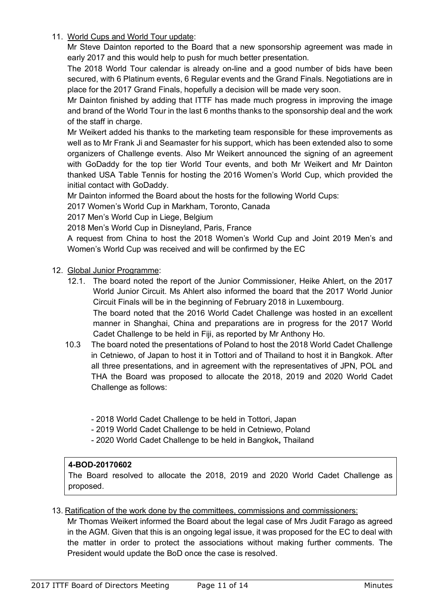11. World Cups and World Tour update:

Mr Steve Dainton reported to the Board that a new sponsorship agreement was made in early 2017 and this would help to push for much better presentation.

The 2018 World Tour calendar is already on-line and a good number of bids have been secured, with 6 Platinum events, 6 Regular events and the Grand Finals. Negotiations are in place for the 2017 Grand Finals, hopefully a decision will be made very soon.

Mr Dainton finished by adding that ITTF has made much progress in improving the image and brand of the World Tour in the last 6 months thanks to the sponsorship deal and the work of the staff in charge.

Mr Weikert added his thanks to the marketing team responsible for these improvements as well as to Mr Frank Ji and Seamaster for his support, which has been extended also to some organizers of Challenge events. Also Mr Weikert announced the signing of an agreement with GoDaddy for the top tier World Tour events, and both Mr Weikert and Mr Dainton thanked USA Table Tennis for hosting the 2016 Women's World Cup, which provided the initial contact with GoDaddy.

Mr Dainton informed the Board about the hosts for the following World Cups:

2017 Women's World Cup in Markham, Toronto, Canada

2017 Men's World Cup in Liege, Belgium

2018 Men's World Cup in Disneyland, Paris, France

A request from China to host the 2018 Women's World Cup and Joint 2019 Men's and Women's World Cup was received and will be confirmed by the EC

#### 12. Global Junior Programme:

12.1. The board noted the report of the Junior Commissioner, Heike Ahlert, on the 2017 World Junior Circuit. Ms Ahlert also informed the board that the 2017 World Junior Circuit Finals will be in the beginning of February 2018 in Luxembourg.

The board noted that the 2016 World Cadet Challenge was hosted in an excellent manner in Shanghai, China and preparations are in progress for the 2017 World Cadet Challenge to be held in Fiji, as reported by Mr Anthony Ho.

- 10.3 The board noted the presentations of Poland to host the 2018 World Cadet Challenge in Cetniewo, of Japan to host it in Tottori and of Thailand to host it in Bangkok. After all three presentations, and in agreement with the representatives of JPN, POL and THA the Board was proposed to allocate the 2018, 2019 and 2020 World Cadet Challenge as follows:
	- 2018 World Cadet Challenge to be held in Tottori, Japan
	- 2019 World Cadet Challenge to be held in Cetniewo, Poland
	- 2020 World Cadet Challenge to be held in Bangkok**,** Thailand

#### **4-BOD-20170602**

The Board resolved to allocate the 2018, 2019 and 2020 World Cadet Challenge as proposed.

13. Ratification of the work done by the committees, commissions and commissioners:

Mr Thomas Weikert informed the Board about the legal case of Mrs Judit Farago as agreed in the AGM. Given that this is an ongoing legal issue, it was proposed for the EC to deal with the matter in order to protect the associations without making further comments. The President would update the BoD once the case is resolved.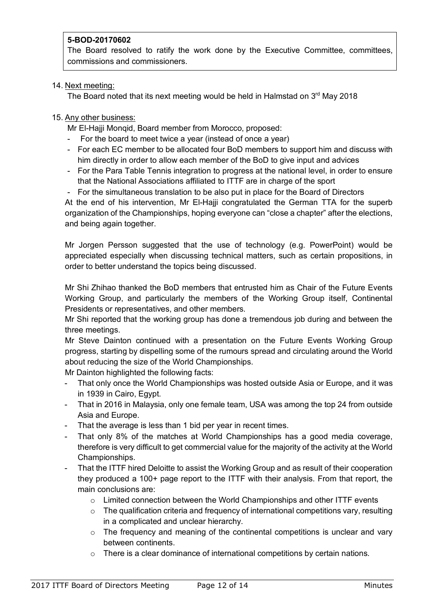# **5-BOD-20170602**

The Board resolved to ratify the work done by the Executive Committee, committees, commissions and commissioners.

### 14. Next meeting:

The Board noted that its next meeting would be held in Halmstad on  $3<sup>rd</sup>$  May 2018

### 15. Any other business:

Mr El-Hajji Monqid, Board member from Morocco, proposed:

- For the board to meet twice a year (instead of once a year)
- For each EC member to be allocated four BoD members to support him and discuss with him directly in order to allow each member of the BoD to give input and advices
- For the Para Table Tennis integration to progress at the national level, in order to ensure that the National Associations affiliated to ITTF are in charge of the sport
- For the simultaneous translation to be also put in place for the Board of Directors

At the end of his intervention, Mr El-Hajji congratulated the German TTA for the superb organization of the Championships, hoping everyone can "close a chapter" after the elections, and being again together.

Mr Jorgen Persson suggested that the use of technology (e.g. PowerPoint) would be appreciated especially when discussing technical matters, such as certain propositions, in order to better understand the topics being discussed.

Mr Shi Zhihao thanked the BoD members that entrusted him as Chair of the Future Events Working Group, and particularly the members of the Working Group itself, Continental Presidents or representatives, and other members.

Mr Shi reported that the working group has done a tremendous job during and between the three meetings.

Mr Steve Dainton continued with a presentation on the Future Events Working Group progress, starting by dispelling some of the rumours spread and circulating around the World about reducing the size of the World Championships.

Mr Dainton highlighted the following facts:

- That only once the World Championships was hosted outside Asia or Europe, and it was in 1939 in Cairo, Egypt.
- That in 2016 in Malaysia, only one female team, USA was among the top 24 from outside Asia and Europe.
- That the average is less than 1 bid per year in recent times.
- That only 8% of the matches at World Championships has a good media coverage, therefore is very difficult to get commercial value for the majority of the activity at the World Championships.
- That the ITTF hired Deloitte to assist the Working Group and as result of their cooperation they produced a 100+ page report to the ITTF with their analysis. From that report, the main conclusions are:
	- $\circ$  Limited connection between the World Championships and other ITTF events
	- $\circ$  The qualification criteria and frequency of international competitions vary, resulting in a complicated and unclear hierarchy.
	- $\circ$  The frequency and meaning of the continental competitions is unclear and vary between continents.
	- $\circ$  There is a clear dominance of international competitions by certain nations.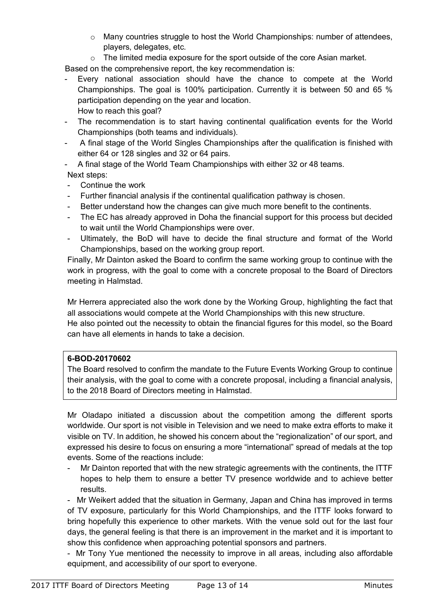- $\circ$  Many countries struggle to host the World Championships: number of attendees, players, delegates, etc.
- $\circ$  The limited media exposure for the sport outside of the core Asian market.

Based on the comprehensive report, the key recommendation is:

- Every national association should have the chance to compete at the World Championships. The goal is 100% participation. Currently it is between 50 and 65 % participation depending on the year and location. How to reach this goal?
- The recommendation is to start having continental qualification events for the World Championships (both teams and individuals).
- A final stage of the World Singles Championships after the qualification is finished with either 64 or 128 singles and 32 or 64 pairs.
- A final stage of the World Team Championships with either 32 or 48 teams. Next steps:
- Continue the work
- Further financial analysis if the continental qualification pathway is chosen.
- Better understand how the changes can give much more benefit to the continents.
- The EC has already approved in Doha the financial support for this process but decided to wait until the World Championships were over.
- Ultimately, the BoD will have to decide the final structure and format of the World Championships, based on the working group report.

Finally, Mr Dainton asked the Board to confirm the same working group to continue with the work in progress, with the goal to come with a concrete proposal to the Board of Directors meeting in Halmstad.

Mr Herrera appreciated also the work done by the Working Group, highlighting the fact that all associations would compete at the World Championships with this new structure. He also pointed out the necessity to obtain the financial figures for this model, so the Board can have all elements in hands to take a decision.

# **6-BOD-20170602**

The Board resolved to confirm the mandate to the Future Events Working Group to continue their analysis, with the goal to come with a concrete proposal, including a financial analysis, to the 2018 Board of Directors meeting in Halmstad.

Mr Oladapo initiated a discussion about the competition among the different sports worldwide. Our sport is not visible in Television and we need to make extra efforts to make it visible on TV. In addition, he showed his concern about the "regionalization" of our sport, and expressed his desire to focus on ensuring a more "international" spread of medals at the top events. Some of the reactions include:

- Mr Dainton reported that with the new strategic agreements with the continents, the ITTF hopes to help them to ensure a better TV presence worldwide and to achieve better results.

- Mr Weikert added that the situation in Germany, Japan and China has improved in terms of TV exposure, particularly for this World Championships, and the ITTF looks forward to bring hopefully this experience to other markets. With the venue sold out for the last four days, the general feeling is that there is an improvement in the market and it is important to show this confidence when approaching potential sponsors and partners.

- Mr Tony Yue mentioned the necessity to improve in all areas, including also affordable equipment, and accessibility of our sport to everyone.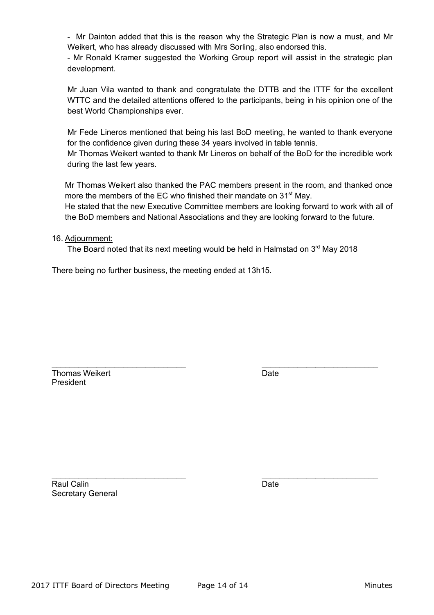- Mr Dainton added that this is the reason why the Strategic Plan is now a must, and Mr Weikert, who has already discussed with Mrs Sorling, also endorsed this.

- Mr Ronald Kramer suggested the Working Group report will assist in the strategic plan development.

Mr Juan Vila wanted to thank and congratulate the DTTB and the ITTF for the excellent WTTC and the detailed attentions offered to the participants, being in his opinion one of the best World Championships ever.

Mr Fede Lineros mentioned that being his last BoD meeting, he wanted to thank everyone for the confidence given during these 34 years involved in table tennis.

Mr Thomas Weikert wanted to thank Mr Lineros on behalf of the BoD for the incredible work during the last few years.

Mr Thomas Weikert also thanked the PAC members present in the room, and thanked once more the members of the EC who finished their mandate on 31<sup>st</sup> May.

He stated that the new Executive Committee members are looking forward to work with all of the BoD members and National Associations and they are looking forward to the future.

#### 16. Adjournment:

The Board noted that its next meeting would be held in Halmstad on 3<sup>rd</sup> May 2018

\_\_\_\_\_\_\_\_\_\_\_\_\_\_\_\_\_\_\_\_\_\_\_\_\_\_\_\_\_\_ \_\_\_\_\_\_\_\_\_\_\_\_\_\_\_\_\_\_\_\_\_\_\_\_\_\_

There being no further business, the meeting ended at 13h15.

Thomas Weikert **Date** President

\_\_\_\_\_\_\_\_\_\_\_\_\_\_\_\_\_\_\_\_\_\_\_\_\_\_\_\_\_\_ \_\_\_\_\_\_\_\_\_\_\_\_\_\_\_\_\_\_\_\_\_\_\_\_\_\_ Raul Calin **Date** Secretary General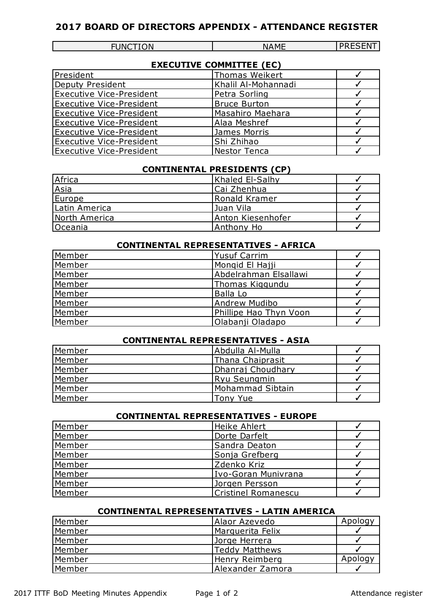# **2017 BOARD OF DIRECTORS APPENDIX - ATTENDANCE REGISTER**

| JNCTION |  |
|---------|--|
|---------|--|

FUNCTION NAME PRESENT

| <b>EXECUTIVE COMMITTEE (EC)</b> |                     |  |  |  |
|---------------------------------|---------------------|--|--|--|
| President                       | Thomas Weikert      |  |  |  |
| Deputy President                | Khalil Al-Mohannadi |  |  |  |
| <b>Executive Vice-President</b> | Petra Sorling       |  |  |  |
| Executive Vice-President        | <b>Bruce Burton</b> |  |  |  |
| <b>Executive Vice-President</b> | Masahiro Maehara    |  |  |  |
| Executive Vice-President        | Alaa Meshref        |  |  |  |
| <b>Executive Vice-President</b> | James Morris        |  |  |  |
| <b>Executive Vice-President</b> | Shi Zhihao          |  |  |  |
| Executive Vice-President        | Nestor Tenca        |  |  |  |

#### **CONTINENTAL PRESIDENTS (CP)**

| Africa         | Khaled El-Salhy    |  |
|----------------|--------------------|--|
| Asia           | Cai Zhenhua        |  |
| Europe         | Ronald Kramer      |  |
| Latin America  | IJuan Vila         |  |
| North America  | lAnton Kiesenhofer |  |
| <b>Oceania</b> | Anthony Ho         |  |

# **CONTINENTAL REPRESENTATIVES - AFRICA**

| Member | <b>Yusuf Carrim</b>    |  |
|--------|------------------------|--|
| Member | Mongid El Hajji        |  |
| Member | Abdelrahman Elsallawi  |  |
| Member | Thomas Kiggundu        |  |
| Member | Balla Lo               |  |
| Member | <b>Andrew Mudibo</b>   |  |
| Member | Phillipe Hao Thyn Voon |  |
| Member | Olabanji Oladapo       |  |

# **CONTINENTAL REPRESENTATIVES - ASIA**

| Member        | Abdulla Al-Mulla    |  |
|---------------|---------------------|--|
| Member        | Thana Chaiprasit    |  |
| <b>Member</b> | Dhanraj Choudhary   |  |
| Member        | <b>Ryu Seungmin</b> |  |
| <b>Member</b> | Mohammad Sibtain    |  |
| Member        | Tony Yue            |  |

# **CONTINENTAL REPRESENTATIVES - EUROPE**

| Member | Heike Ahlert               |  |
|--------|----------------------------|--|
| Member | Dorte Darfelt              |  |
| Member | Sandra Deaton              |  |
| Member | Sonja Grefberg             |  |
| Member | Zdenko Kriz                |  |
| Member | Ivo-Goran Munivrana        |  |
| Member | Jorgen Persson             |  |
| Member | <b>Cristinel Romanescu</b> |  |

#### **CONTINENTAL REPRESENTATIVES - LATIN AMERICA**

| Member        | Alaor Azevedo    | Apology |
|---------------|------------------|---------|
| Member        | Marguerita Felix |         |
| <b>Member</b> | Jorge Herrera    |         |
| <b>Member</b> | Teddy Matthews   |         |
| Member        | Henry Reimberg   | Apology |
| Member        | Alexander Zamora |         |